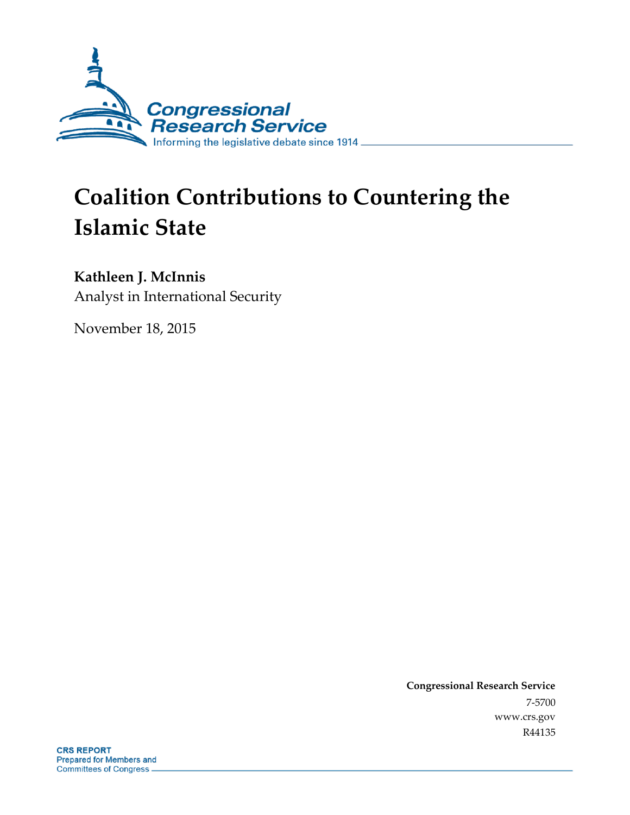

# **Coalition Contributions to Countering the Islamic State**

# **Kathleen J. McInnis**

Analyst in International Security

November 18, 2015

**Congressional Research Service** 7-5700 www.crs.gov R44135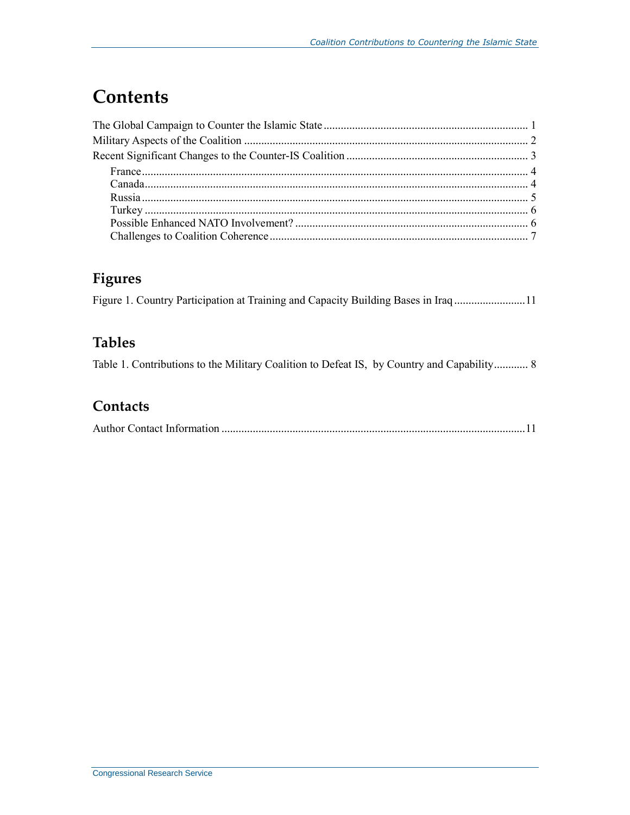# **Contents**

# **Figures**

|  | Figure 1. Country Participation at Training and Capacity Building Bases in Iraq 11 |  |  |  |
|--|------------------------------------------------------------------------------------|--|--|--|
|  |                                                                                    |  |  |  |

## **Tables**

Table 1. Contributions to the Military Coalition to Defeat IS, by Country and Capability............ 8

## **Contacts**

|--|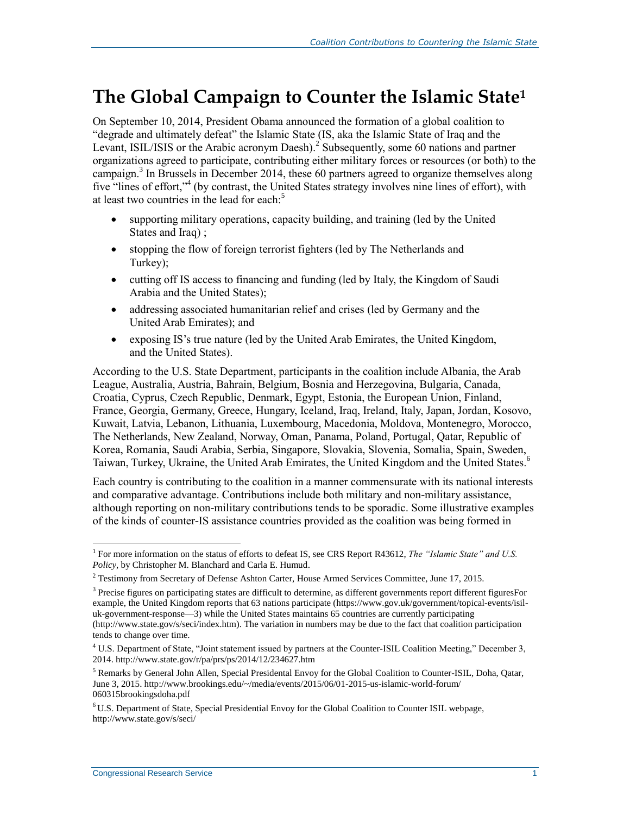# **The Global Campaign to Counter the Islamic State<sup>1</sup>**

On September 10, 2014, President Obama announced the formation of a global coalition to "degrade and ultimately defeat" the Islamic State (IS, aka the Islamic State of Iraq and the Levant, ISIL/ISIS or the Arabic acronym Daesh).<sup>2</sup> Subsequently, some 60 nations and partner organizations agreed to participate, contributing either military forces or resources (or both) to the campaign.<sup>3</sup> In Brussels in December 2014, these 60 partners agreed to organize themselves along five "lines of effort,"<sup>4</sup> (by contrast, the United States strategy involves nine lines of effort), with at least two countries in the lead for each.<sup>5</sup>

- supporting military operations, capacity building, and training (led by the United States and Iraq) ;
- stopping the flow of foreign terrorist fighters (led by The Netherlands and Turkey);
- cutting off IS access to financing and funding (led by Italy, the Kingdom of Saudi Arabia and the United States);
- addressing associated humanitarian relief and crises (led by Germany and the United Arab Emirates); and
- exposing IS's true nature (led by the United Arab Emirates, the United Kingdom, and the United States).

According to the U.S. State Department, participants in the coalition include Albania, the Arab League, Australia, Austria, Bahrain, Belgium, Bosnia and Herzegovina, Bulgaria, Canada, Croatia, Cyprus, Czech Republic, Denmark, Egypt, Estonia, the European Union, Finland, France, Georgia, Germany, Greece, Hungary, Iceland, Iraq, Ireland, Italy, Japan, Jordan, Kosovo, Kuwait, Latvia, Lebanon, Lithuania, Luxembourg, Macedonia, Moldova, Montenegro, Morocco, The Netherlands, New Zealand, Norway, Oman, Panama, Poland, Portugal, Qatar, Republic of Korea, Romania, Saudi Arabia, Serbia, Singapore, Slovakia, Slovenia, Somalia, Spain, Sweden, Taiwan, Turkey, Ukraine, the United Arab Emirates, the United Kingdom and the United States.<sup>6</sup>

Each country is contributing to the coalition in a manner commensurate with its national interests and comparative advantage. Contributions include both military and non-military assistance, although reporting on non-military contributions tends to be sporadic. Some illustrative examples of the kinds of counter-IS assistance countries provided as the coalition was being formed in

 $\overline{a}$ 

<sup>&</sup>lt;sup>1</sup> For more information on the status of efforts to defeat IS, see CRS Report R43612, *The "Islamic State" and U.S. Policy*, by Christopher M. Blanchard and Carla E. Humud.

<sup>&</sup>lt;sup>2</sup> Testimony from Secretary of Defense Ashton Carter, House Armed Services Committee, June 17, 2015.

<sup>&</sup>lt;sup>3</sup> Precise figures on participating states are difficult to determine, as different governments report different figuresFor example, the United Kingdom reports that 63 nations participate (https://www.gov.uk/government/topical-events/isiluk-government-response—3) while the United States maintains 65 countries are currently participating (http://www.state.gov/s/seci/index.htm). The variation in numbers may be due to the fact that coalition participation tends to change over time.

<sup>4</sup> U.S. Department of State, "Joint statement issued by partners at the Counter-ISIL Coalition Meeting," December 3, 2014. http://www.state.gov/r/pa/prs/ps/2014/12/234627.htm

<sup>5</sup> Remarks by General John Allen, Special Presidental Envoy for the Global Coalition to Counter-ISIL, Doha, Qatar, June 3, 2015. http://www.brookings.edu/~/media/events/2015/06/01-2015-us-islamic-world-forum/ 060315brookingsdoha.pdf

<sup>6</sup> U.S. Department of State, Special Presidential Envoy for the Global Coalition to Counter ISIL webpage, http://www.state.gov/s/seci/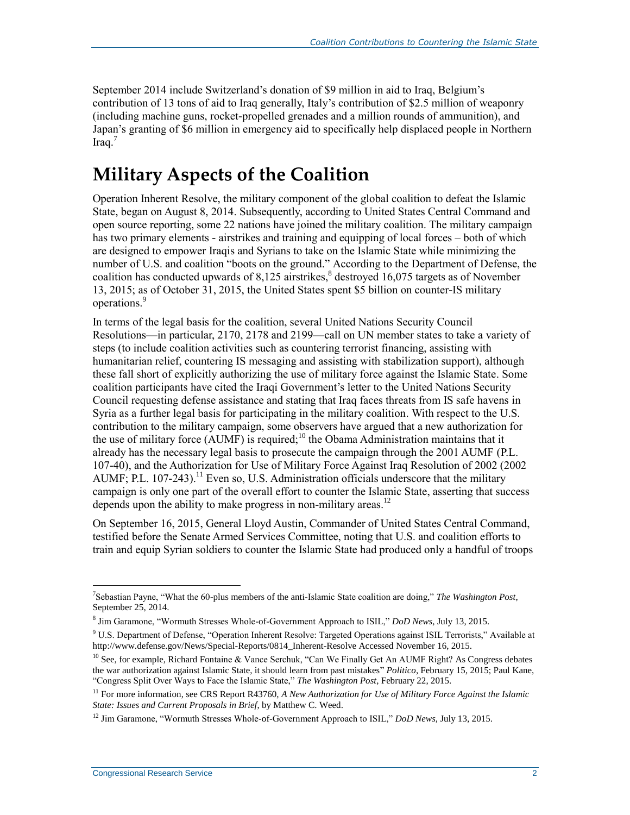September 2014 include Switzerland's donation of \$9 million in aid to Iraq, Belgium's contribution of 13 tons of aid to Iraq generally, Italy's contribution of \$2.5 million of weaponry (including machine guns, rocket-propelled grenades and a million rounds of ammunition), and Japan's granting of \$6 million in emergency aid to specifically help displaced people in Northern  $Iraq<sup>7</sup>$ 

# **Military Aspects of the Coalition**

Operation Inherent Resolve, the military component of the global coalition to defeat the Islamic State, began on August 8, 2014. Subsequently, according to United States Central Command and open source reporting, some 22 nations have joined the military coalition. The military campaign has two primary elements - airstrikes and training and equipping of local forces – both of which are designed to empower Iraqis and Syrians to take on the Islamic State while minimizing the number of U.S. and coalition "boots on the ground." According to the Department of Defense, the coalition has conducted upwards of 8,125 airstrikes,<sup>8</sup> destroyed 16,075 targets as of November 13, 2015; as of October 31, 2015, the United States spent \$5 billion on counter-IS military operations.<sup>9</sup>

In terms of the legal basis for the coalition, several United Nations Security Council Resolutions—in particular, 2170, 2178 and 2199—call on UN member states to take a variety of steps (to include coalition activities such as countering terrorist financing, assisting with humanitarian relief, countering IS messaging and assisting with stabilization support), although these fall short of explicitly authorizing the use of military force against the Islamic State. Some coalition participants have cited the Iraqi Government's letter to the United Nations Security Council requesting defense assistance and stating that Iraq faces threats from IS safe havens in Syria as a further legal basis for participating in the military coalition. With respect to the U.S. contribution to the military campaign, some observers have argued that a new authorization for the use of military force  $(AUMF)$  is required;<sup>10</sup> the Obama Administration maintains that it already has the necessary legal basis to prosecute the campaign through the 2001 AUMF (P.L. 107-40), and the Authorization for Use of Military Force Against Iraq Resolution of 2002 (2002  $AUMF$ ; P.L. 107-243).<sup>11</sup> Even so, U.S. Administration officials underscore that the military campaign is only one part of the overall effort to counter the Islamic State, asserting that success depends upon the ability to make progress in non-military areas.<sup>12</sup>

On September 16, 2015, General Lloyd Austin, Commander of United States Central Command, testified before the Senate Armed Services Committee, noting that U.S. and coalition efforts to train and equip Syrian soldiers to counter the Islamic State had produced only a handful of troops

 $\overline{a}$ 7 Sebastian Payne, "What the 60-plus members of the anti-Islamic State coalition are doing," *The Washington Post*, September 25, 2014.

<sup>8</sup> Jim Garamone, "Wormuth Stresses Whole-of-Government Approach to ISIL," *DoD News*, July 13, 2015.

<sup>&</sup>lt;sup>9</sup> U.S. Department of Defense, "Operation Inherent Resolve: Targeted Operations against ISIL Terrorists," Available at http://www.defense.gov/News/Special-Reports/0814\_Inherent-Resolve Accessed November 16, 2015.

<sup>&</sup>lt;sup>10</sup> See, for example, Richard Fontaine & Vance Serchuk, "Can We Finally Get An AUMF Right? As Congress debates the war authorization against Islamic State, it should learn from past mistakes" *Politico*, February 15, 2015; Paul Kane, "Congress Split Over Ways to Face the Islamic State," *The Washington Post*, February 22, 2015.

<sup>11</sup> For more information, see CRS Report R43760, *A New Authorization for Use of Military Force Against the Islamic State: Issues and Current Proposals in Brief*, by Matthew C. Weed.

<sup>12</sup> Jim Garamone, "Wormuth Stresses Whole-of-Government Approach to ISIL," *DoD News*, July 13, 2015.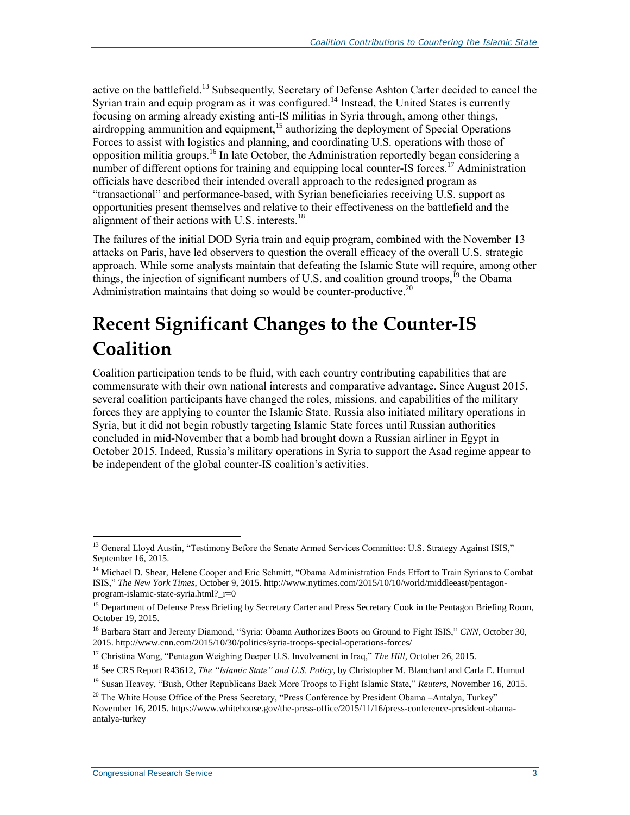active on the battlefield.<sup>13</sup> Subsequently, Secretary of Defense Ashton Carter decided to cancel the Syrian train and equip program as it was configured.<sup>14</sup> Instead, the United States is currently focusing on arming already existing anti-IS militias in Syria through, among other things, airdropping ammunition and equipment,<sup>15</sup> authorizing the deployment of Special Operations Forces to assist with logistics and planning, and coordinating U.S. operations with those of opposition militia groups.<sup>16</sup> In late October, the Administration reportedly began considering a number of different options for training and equipping local counter-IS forces.<sup>17</sup> Administration officials have described their intended overall approach to the redesigned program as "transactional" and performance-based, with Syrian beneficiaries receiving U.S. support as opportunities present themselves and relative to their effectiveness on the battlefield and the alignment of their actions with U.S. interests.<sup>18</sup>

The failures of the initial DOD Syria train and equip program, combined with the November 13 attacks on Paris, have led observers to question the overall efficacy of the overall U.S. strategic approach. While some analysts maintain that defeating the Islamic State will require, among other things, the injection of significant numbers of U.S. and coalition ground troops,  $^{19}$  the Obama Administration maintains that doing so would be counter-productive.<sup>20</sup>

# **Recent Significant Changes to the Counter-IS Coalition**

Coalition participation tends to be fluid, with each country contributing capabilities that are commensurate with their own national interests and comparative advantage. Since August 2015, several coalition participants have changed the roles, missions, and capabilities of the military forces they are applying to counter the Islamic State. Russia also initiated military operations in Syria, but it did not begin robustly targeting Islamic State forces until Russian authorities concluded in mid-November that a bomb had brought down a Russian airliner in Egypt in October 2015. Indeed, Russia's military operations in Syria to support the Asad regime appear to be independent of the global counter-IS coalition's activities.

 $\overline{a}$ 

<sup>&</sup>lt;sup>13</sup> General Lloyd Austin, "Testimony Before the Senate Armed Services Committee: U.S. Strategy Against ISIS," September 16, 2015.

<sup>&</sup>lt;sup>14</sup> Michael D. Shear, Helene Cooper and Eric Schmitt, "Obama Administration Ends Effort to Train Syrians to Combat ISIS," *The New York Times,* October 9, 2015. http://www.nytimes.com/2015/10/10/world/middleeast/pentagonprogram-islamic-state-syria.html?\_r=0

<sup>&</sup>lt;sup>15</sup> Department of Defense Press Briefing by Secretary Carter and Press Secretary Cook in the Pentagon Briefing Room, October 19, 2015.

<sup>16</sup> Barbara Starr and Jeremy Diamond, "Syria: Obama Authorizes Boots on Ground to Fight ISIS," *CNN*, October 30, 2015. http://www.cnn.com/2015/10/30/politics/syria-troops-special-operations-forces/

<sup>&</sup>lt;sup>17</sup> Christina Wong, "Pentagon Weighing Deeper U.S. Involvement in Iraq," *The Hill*, October 26, 2015.

<sup>18</sup> See CRS Report R43612, *The "Islamic State" and U.S. Policy*, by Christopher M. Blanchard and Carla E. Humud

<sup>19</sup> Susan Heavey, "Bush, Other Republicans Back More Troops to Fight Islamic State," *Reuters*, November 16, 2015.

<sup>&</sup>lt;sup>20</sup> The White House Office of the Press Secretary, "Press Conference by President Obama –Antalya, Turkey" November 16, 2015. https://www.whitehouse.gov/the-press-office/2015/11/16/press-conference-president-obamaantalya-turkey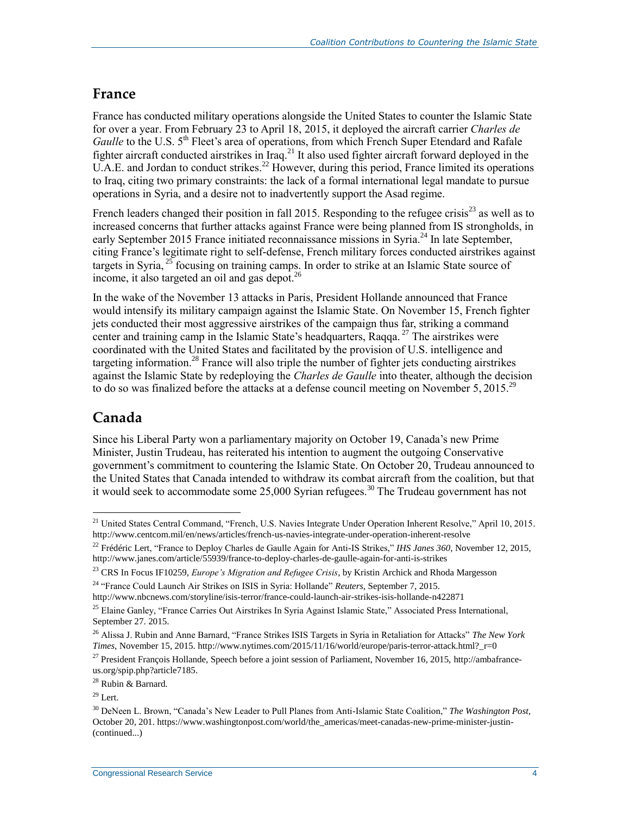#### **France**

France has conducted military operations alongside the United States to counter the Islamic State for over a year. From February 23 to April 18, 2015, it deployed the aircraft carrier *Charles de Gaulle* to the U.S. 5<sup>th</sup> Fleet's area of operations, from which French Super Etendard and Rafale fighter aircraft conducted airstrikes in Iraq.<sup>21</sup> It also used fighter aircraft forward deployed in the U.A.E. and Jordan to conduct strikes.<sup>22</sup> However, during this period, France limited its operations to Iraq, citing two primary constraints: the lack of a formal international legal mandate to pursue operations in Syria, and a desire not to inadvertently support the Asad regime.

French leaders changed their position in fall 2015. Responding to the refugee crisis<sup>23</sup> as well as to increased concerns that further attacks against France were being planned from IS strongholds, in early September 2015 France initiated reconnaissance missions in Syria.<sup>24</sup> In late September, citing France's legitimate right to self-defense, French military forces conducted airstrikes against targets in Syria, <sup>25</sup> focusing on training camps. In order to strike at an Islamic State source of income, it also targeted an oil and gas depot. $26$ 

In the wake of the November 13 attacks in Paris, President Hollande announced that France would intensify its military campaign against the Islamic State. On November 15, French fighter jets conducted their most aggressive airstrikes of the campaign thus far, striking a command center and training camp in the Islamic State's headquarters, Raqqa.<sup>27</sup> The airstrikes were coordinated with the United States and facilitated by the provision of U.S. intelligence and targeting information.<sup>28</sup> France will also triple the number of fighter jets conducting airstrikes against the Islamic State by redeploying the *Charles de Gaulle* into theater, although the decision to do so was finalized before the attacks at a defense council meeting on November 5, 2015.<sup>29</sup>

# **Canada**

 $\overline{a}$ 

Since his Liberal Party won a parliamentary majority on October 19, Canada's new Prime Minister, Justin Trudeau, has reiterated his intention to augment the outgoing Conservative government's commitment to countering the Islamic State. On October 20, Trudeau announced to the United States that Canada intended to withdraw its combat aircraft from the coalition, but that it would seek to accommodate some 25,000 Syrian refugees.<sup>30</sup> The Trudeau government has not

<sup>&</sup>lt;sup>21</sup> United States Central Command, "French, U.S. Navies Integrate Under Operation Inherent Resolve," April 10, 2015. http://www.centcom.mil/en/news/articles/french-us-navies-integrate-under-operation-inherent-resolve

<sup>22</sup> Frédéric Lert, "France to Deploy Charles de Gaulle Again for Anti-IS Strikes," *IHS Janes 360*, November 12, 2015, http://www.janes.com/article/55939/france-to-deploy-charles-de-gaulle-again-for-anti-is-strikes

<sup>23</sup> CRS In Focus IF10259, *Europe's Migration and Refugee Crisis*, by Kristin Archick and Rhoda Margesson <sup>24</sup> "France Could Launch Air Strikes on ISIS in Syria: Hollande" *Reuters*, September 7, 2015.

http://www.nbcnews.com/storyline/isis-terror/france-could-launch-air-strikes-isis-hollande-n422871

<sup>&</sup>lt;sup>25</sup> Elaine Ganley, "France Carries Out Airstrikes In Syria Against Islamic State," Associated Press International, September 27. 2015.

<sup>26</sup> Alissa J. Rubin and Anne Barnard, "France Strikes ISIS Targets in Syria in Retaliation for Attacks" *The New York Times*, November 15, 2015. http://www.nytimes.com/2015/11/16/world/europe/paris-terror-attack.html?\_r=0

 $^{27}$  President François Hollande, Speech before a joint session of Parliament, November 16, 2015, http://ambafranceus.org/spip.php?article7185.

<sup>28</sup> Rubin & Barnard.

 $29$  Lert.

<sup>30</sup> DeNeen L. Brown, "Canada's New Leader to Pull Planes from Anti-Islamic State Coalition," *The Washington Post,* October 20, 201. https://www.washingtonpost.com/world/the\_americas/meet-canadas-new-prime-minister-justin- (continued...)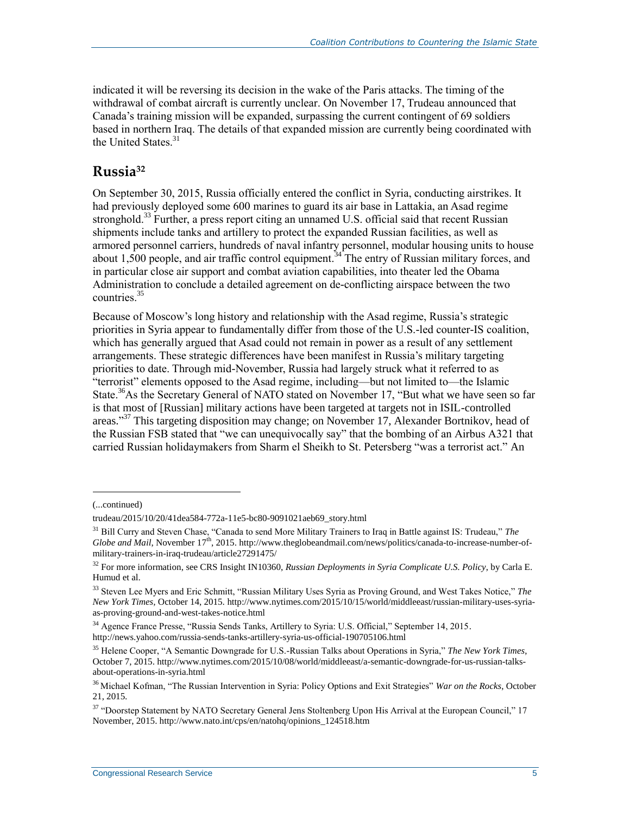indicated it will be reversing its decision in the wake of the Paris attacks. The timing of the withdrawal of combat aircraft is currently unclear. On November 17, Trudeau announced that Canada's training mission will be expanded, surpassing the current contingent of 69 soldiers based in northern Iraq. The details of that expanded mission are currently being coordinated with the United States.<sup>31</sup>

## **Russia<sup>32</sup>**

On September 30, 2015, Russia officially entered the conflict in Syria, conducting airstrikes. It had previously deployed some 600 marines to guard its air base in Lattakia, an Asad regime stronghold.<sup>33</sup> Further, a press report citing an unnamed U.S. official said that recent Russian shipments include tanks and artillery to protect the expanded Russian facilities, as well as armored personnel carriers, hundreds of naval infantry personnel, modular housing units to house about 1,500 people, and air traffic control equipment.<sup>34</sup> The entry of Russian military forces, and in particular close air support and combat aviation capabilities, into theater led the Obama Administration to conclude a detailed agreement on de-conflicting airspace between the two countries<sup>35</sup>

Because of Moscow's long history and relationship with the Asad regime, Russia's strategic priorities in Syria appear to fundamentally differ from those of the U.S.-led counter-IS coalition, which has generally argued that Asad could not remain in power as a result of any settlement arrangements. These strategic differences have been manifest in Russia's military targeting priorities to date. Through mid-November, Russia had largely struck what it referred to as "terrorist" elements opposed to the Asad regime, including—but not limited to—the Islamic State.<sup>36</sup>As the Secretary General of NATO stated on November 17, "But what we have seen so far is that most of [Russian] military actions have been targeted at targets not in ISIL-controlled areas."<sup>37</sup> This targeting disposition may change; on November 17, Alexander Bortnikov, head of the Russian FSB stated that "we can unequivocally say" that the bombing of an Airbus A321 that carried Russian holidaymakers from Sharm el Sheikh to St. Petersberg "was a terrorist act." An

 $\overline{a}$ 

<sup>(...</sup>continued)

trudeau/2015/10/20/41dea584-772a-11e5-bc80-9091021aeb69\_story.html

<sup>31</sup> Bill Curry and Steven Chase, "Canada to send More Military Trainers to Iraq in Battle against IS: Trudeau," *The Globe and Mail*, November 17<sup>th</sup>, 2015. http://www.theglobeandmail.com/news/politics/canada-to-increase-number-ofmilitary-trainers-in-iraq-trudeau/article27291475/

<sup>32</sup> For more information, see CRS Insight IN10360, *Russian Deployments in Syria Complicate U.S. Policy*, by Carla E. Humud et al.

<sup>33</sup> Steven Lee Myers and Eric Schmitt, "Russian Military Uses Syria as Proving Ground, and West Takes Notice," *The New York Times,* October 14, 2015. http://www.nytimes.com/2015/10/15/world/middleeast/russian-military-uses-syriaas-proving-ground-and-west-takes-notice.html

<sup>34</sup> Agence France Presse, "Russia Sends Tanks, Artillery to Syria: U.S. Official," September 14, 2015. http://news.yahoo.com/russia-sends-tanks-artillery-syria-us-official-190705106.html

<sup>35</sup> Helene Cooper, "A Semantic Downgrade for U.S.-Russian Talks about Operations in Syria," *The New York Times*, October 7, 2015. http://www.nytimes.com/2015/10/08/world/middleeast/a-semantic-downgrade-for-us-russian-talksabout-operations-in-syria.html

<sup>36</sup> Michael Kofman, "The Russian Intervention in Syria: Policy Options and Exit Strategies" *War on the Rocks*, October 21, 2015.

<sup>&</sup>lt;sup>37</sup> "Doorstep Statement by NATO Secretary General Jens Stoltenberg Upon His Arrival at the European Council," 17 November, 2015. http://www.nato.int/cps/en/natohq/opinions\_124518.htm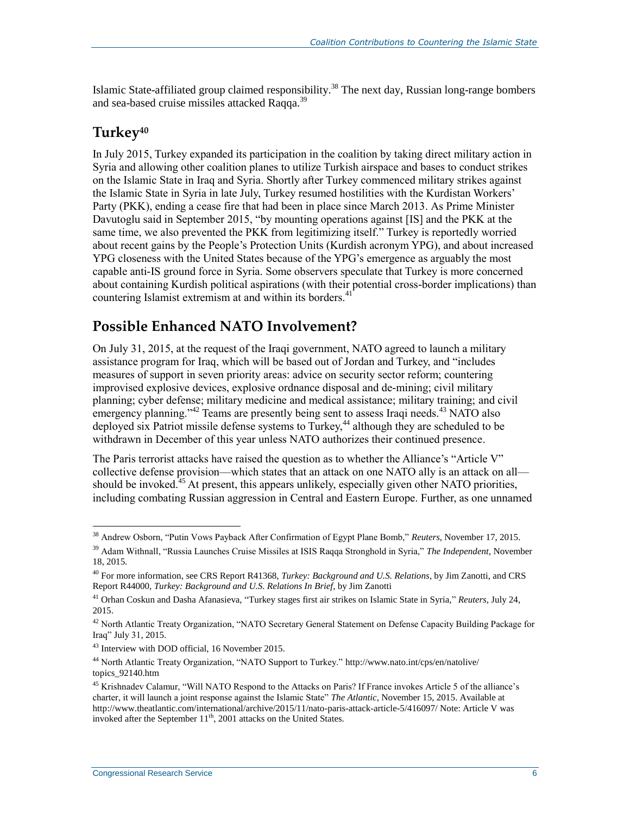Islamic State-affiliated group claimed responsibility.<sup>38</sup> The next day, Russian long-range bombers and sea-based cruise missiles attacked Raqqa.<sup>39</sup>

## **Turkey<sup>40</sup>**

In July 2015, Turkey expanded its participation in the coalition by taking direct military action in Syria and allowing other coalition planes to utilize Turkish airspace and bases to conduct strikes on the Islamic State in Iraq and Syria. Shortly after Turkey commenced military strikes against the Islamic State in Syria in late July, Turkey resumed hostilities with the Kurdistan Workers' Party (PKK), ending a cease fire that had been in place since March 2013. As Prime Minister Davutoglu said in September 2015, "by mounting operations against [IS] and the PKK at the same time, we also prevented the PKK from legitimizing itself." Turkey is reportedly worried about recent gains by the People's Protection Units (Kurdish acronym YPG), and about increased YPG closeness with the United States because of the YPG's emergence as arguably the most capable anti-IS ground force in Syria. Some observers speculate that Turkey is more concerned about containing Kurdish political aspirations (with their potential cross-border implications) than countering Islamist extremism at and within its borders.<sup>41</sup>

# **Possible Enhanced NATO Involvement?**

On July 31, 2015, at the request of the Iraqi government, NATO agreed to launch a military assistance program for Iraq, which will be based out of Jordan and Turkey, and "includes measures of support in seven priority areas: advice on security sector reform; countering improvised explosive devices, explosive ordnance disposal and de-mining; civil military planning; cyber defense; military medicine and medical assistance; military training; and civil emergency planning."<sup>42</sup> Teams are presently being sent to assess Iraqi needs.<sup>43</sup> NATO also deployed six Patriot missile defense systems to Turkey,<sup>44</sup> although they are scheduled to be withdrawn in December of this year unless NATO authorizes their continued presence.

The Paris terrorist attacks have raised the question as to whether the Alliance's "Article V" collective defense provision—which states that an attack on one NATO ally is an attack on all should be invoked.<sup>45</sup> At present, this appears unlikely, especially given other NATO priorities, including combating Russian aggression in Central and Eastern Europe. Further, as one unnamed

 $\overline{a}$ <sup>38</sup> Andrew Osborn, "Putin Vows Payback After Confirmation of Egypt Plane Bomb," *Reuters*, November 17, 2015.

<sup>39</sup> Adam Withnall, "Russia Launches Cruise Missiles at ISIS Raqqa Stronghold in Syria," *The Independent,* November 18, 2015.

<sup>40</sup> For more information, see CRS Report R41368, *Turkey: Background and U.S. Relations*, by Jim Zanotti, and CRS Report R44000, *Turkey: Background and U.S. Relations In Brief*, by Jim Zanotti

<sup>41</sup> Orhan Coskun and Dasha Afanasieva, "Turkey stages first air strikes on Islamic State in Syria," *Reuters*, July 24, 2015.

<sup>42</sup> North Atlantic Treaty Organization, "NATO Secretary General Statement on Defense Capacity Building Package for Iraq" July 31, 2015.

<sup>43</sup> Interview with DOD official, 16 November 2015.

<sup>44</sup> North Atlantic Treaty Organization, "NATO Support to Turkey." http://www.nato.int/cps/en/natolive/ topics\_92140.htm

<sup>45</sup> Krishnadev Calamur, "Will NATO Respond to the Attacks on Paris? If France invokes Article 5 of the alliance's charter, it will launch a joint response against the Islamic State" *The Atlantic*, November 15, 2015. Available at http://www.theatlantic.com/international/archive/2015/11/nato-paris-attack-article-5/416097/ Note: Article V was invoked after the September  $11<sup>th</sup>$ , 2001 attacks on the United States.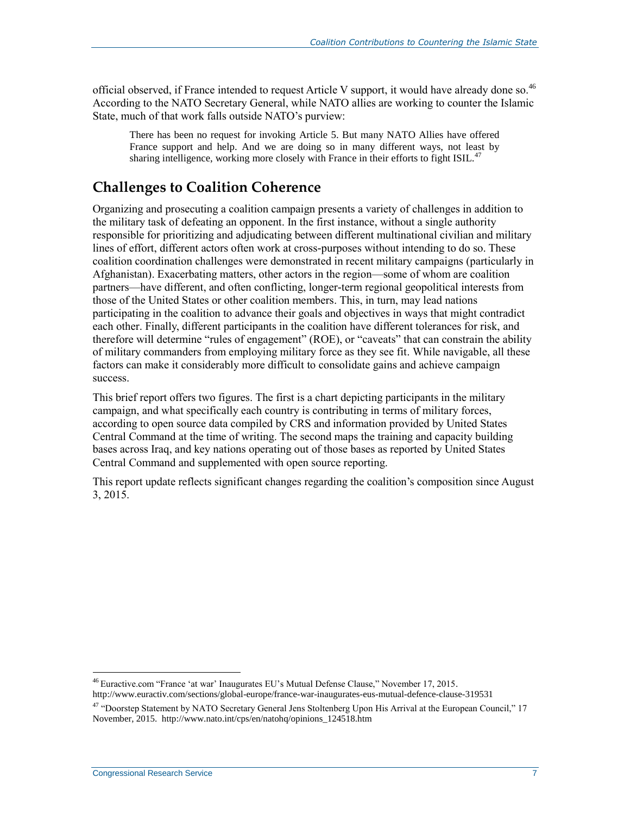official observed, if France intended to request Article V support, it would have already done so.<sup>46</sup> According to the NATO Secretary General, while NATO allies are working to counter the Islamic State, much of that work falls outside NATO's purview:

There has been no request for invoking Article 5. But many NATO Allies have offered France support and help. And we are doing so in many different ways, not least by sharing intelligence, working more closely with France in their efforts to fight ISIL.<sup>47</sup>

### **Challenges to Coalition Coherence**

Organizing and prosecuting a coalition campaign presents a variety of challenges in addition to the military task of defeating an opponent. In the first instance, without a single authority responsible for prioritizing and adjudicating between different multinational civilian and military lines of effort, different actors often work at cross-purposes without intending to do so. These coalition coordination challenges were demonstrated in recent military campaigns (particularly in Afghanistan). Exacerbating matters, other actors in the region—some of whom are coalition partners—have different, and often conflicting, longer-term regional geopolitical interests from those of the United States or other coalition members. This, in turn, may lead nations participating in the coalition to advance their goals and objectives in ways that might contradict each other. Finally, different participants in the coalition have different tolerances for risk, and therefore will determine "rules of engagement" (ROE), or "caveats" that can constrain the ability of military commanders from employing military force as they see fit. While navigable, all these factors can make it considerably more difficult to consolidate gains and achieve campaign success.

This brief report offers two figures. The first is a chart depicting participants in the military campaign, and what specifically each country is contributing in terms of military forces, according to open source data compiled by CRS and information provided by United States Central Command at the time of writing. The second maps the training and capacity building bases across Iraq, and key nations operating out of those bases as reported by United States Central Command and supplemented with open source reporting.

This report update reflects significant changes regarding the coalition's composition since August 3, 2015.

 $\overline{a}$ <sup>46</sup> Euractive.com "France 'at war' Inaugurates EU's Mutual Defense Clause," November 17, 2015. http://www.euractiv.com/sections/global-europe/france-war-inaugurates-eus-mutual-defence-clause-319531

<sup>47</sup> "Doorstep Statement by NATO Secretary General Jens Stoltenberg Upon His Arrival at the European Council," 17 November, 2015. http://www.nato.int/cps/en/natohq/opinions\_124518.htm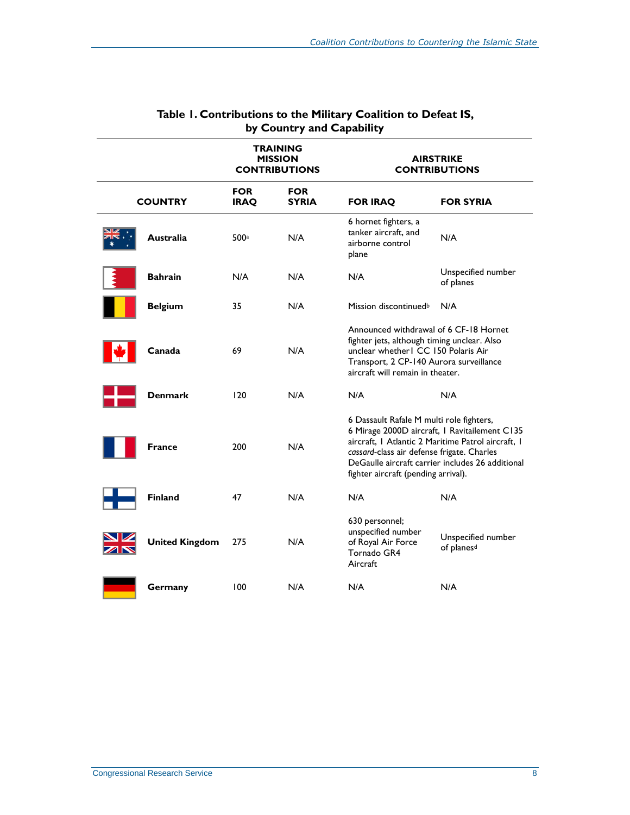| TRAINING<br><b>MISSION</b><br><b>CONTRIBUTIONS</b> |                       | <b>AIRSTRIKE</b><br><b>CONTRIBUTIONS</b> |                            |                                                                                                                                                                                                                                                                                          |                                              |  |
|----------------------------------------------------|-----------------------|------------------------------------------|----------------------------|------------------------------------------------------------------------------------------------------------------------------------------------------------------------------------------------------------------------------------------------------------------------------------------|----------------------------------------------|--|
| <b>COUNTRY</b>                                     |                       | <b>FOR</b><br><b>IRAQ</b>                | <b>FOR</b><br><b>SYRIA</b> | <b>FOR IRAQ</b>                                                                                                                                                                                                                                                                          | <b>FOR SYRIA</b>                             |  |
|                                                    | <b>Australia</b>      | 500 <sup>a</sup>                         | N/A                        | 6 hornet fighters, a<br>tanker aircraft, and<br>airborne control<br>plane                                                                                                                                                                                                                | N/A                                          |  |
|                                                    | <b>Bahrain</b>        | N/A                                      | N/A                        | N/A                                                                                                                                                                                                                                                                                      | Unspecified number<br>of planes              |  |
|                                                    | <b>Belgium</b>        | 35                                       | N/A                        | Mission discontinued <sup>b</sup>                                                                                                                                                                                                                                                        | N/A                                          |  |
|                                                    | Canada                | 69                                       | N/A                        | Announced withdrawal of 6 CF-18 Hornet<br>fighter jets, although timing unclear. Also<br>unclear whether I CC 150 Polaris Air<br>Transport, 2 CP-140 Aurora surveillance<br>aircraft will remain in theater.                                                                             |                                              |  |
|                                                    | <b>Denmark</b>        | 120                                      | N/A                        | N/A                                                                                                                                                                                                                                                                                      | N/A                                          |  |
|                                                    | <b>France</b>         | 200                                      | N/A                        | 6 Dassault Rafale M multi role fighters,<br>6 Mirage 2000D aircraft, I Ravitailement C135<br>aircraft, I Atlantic 2 Maritime Patrol aircraft, I<br>cassard-class air defense frigate. Charles<br>DeGaulle aircraft carrier includes 26 additional<br>fighter aircraft (pending arrival). |                                              |  |
|                                                    | <b>Finland</b>        | 47                                       | N/A                        | N/A                                                                                                                                                                                                                                                                                      | N/A                                          |  |
|                                                    | <b>United Kingdom</b> | 275                                      | N/A                        | 630 personnel;<br>unspecified number<br>of Royal Air Force<br>Tornado GR4<br>Aircraft                                                                                                                                                                                                    | Unspecified number<br>of planes <sup>d</sup> |  |
|                                                    | Germany               | 100                                      | N/A                        | N/A                                                                                                                                                                                                                                                                                      | N/A                                          |  |

#### **Table 1. Contributions to the Military Coalition to Defeat IS, by Country and Capability**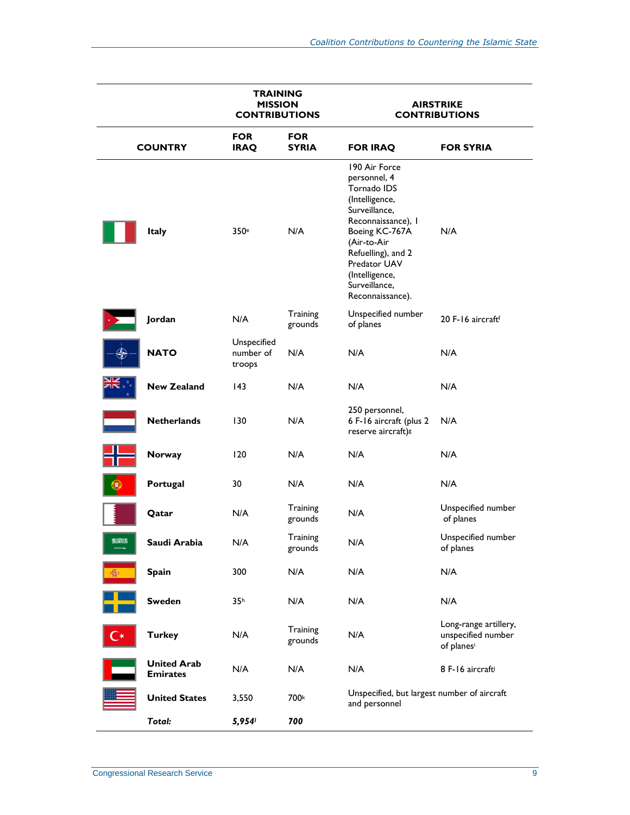|                | <b>TRAINING</b><br><b>MISSION</b><br><b>CONTRIBUTIONS</b> |                                    |                            | <b>AIRSTRIKE</b><br><b>CONTRIBUTIONS</b>                                                                                                                                                                                            |                                                           |  |
|----------------|-----------------------------------------------------------|------------------------------------|----------------------------|-------------------------------------------------------------------------------------------------------------------------------------------------------------------------------------------------------------------------------------|-----------------------------------------------------------|--|
| <b>COUNTRY</b> |                                                           | <b>FOR</b><br><b>IRAQ</b>          | <b>FOR</b><br><b>SYRIA</b> | <b>FOR IRAQ</b>                                                                                                                                                                                                                     | <b>FOR SYRIA</b>                                          |  |
|                | <b>Italy</b>                                              | 350 <sup>e</sup>                   | N/A                        | 190 Air Force<br>personnel, 4<br>Tornado IDS<br>(Intelligence,<br>Surveillance,<br>Reconnaissance), I<br>Boeing KC-767A<br>(Air-to-Air<br>Refuelling), and 2<br>Predator UAV<br>(Intelligence,<br>Surveillance,<br>Reconnaissance). | N/A                                                       |  |
|                | Jordan                                                    | N/A                                | Training<br>grounds        | Unspecified number<br>of planes                                                                                                                                                                                                     | 20 F-16 aircraftf                                         |  |
|                | <b>NATO</b>                                               | Unspecified<br>number of<br>troops | N/A                        | N/A                                                                                                                                                                                                                                 | N/A                                                       |  |
|                | <b>New Zealand</b>                                        | 43                                 | N/A                        | N/A                                                                                                                                                                                                                                 | N/A                                                       |  |
|                | <b>Netherlands</b>                                        | 130                                | N/A                        | 250 personnel,<br>6 F-16 aircraft (plus 2<br>reserve aircraft) s                                                                                                                                                                    | N/A                                                       |  |
|                | <b>Norway</b>                                             | 120                                | N/A                        | N/A                                                                                                                                                                                                                                 | N/A                                                       |  |
|                | Portugal                                                  | 30                                 | N/A                        | N/A                                                                                                                                                                                                                                 | N/A                                                       |  |
|                | Qatar                                                     | N/A                                | Training<br>grounds        | N/A                                                                                                                                                                                                                                 | Unspecified number<br>of planes                           |  |
| 多波外科           | Saudi Arabia                                              | N/A                                | Training<br>grounds        | N/A                                                                                                                                                                                                                                 | Unspecified number<br>of planes                           |  |
| 嫐              | <b>Spain</b>                                              | 300                                | N/A                        | N/A                                                                                                                                                                                                                                 | N/A                                                       |  |
|                | <b>Sweden</b>                                             | 35 <sup>h</sup>                    | N/A                        | N/A                                                                                                                                                                                                                                 | N/A                                                       |  |
|                | <b>Turkey</b>                                             | N/A                                | Training<br>grounds        | N/A                                                                                                                                                                                                                                 | Long-range artillery,<br>unspecified number<br>of planesi |  |
|                | <b>United Arab</b><br><b>Emirates</b>                     | N/A                                | N/A                        | N/A                                                                                                                                                                                                                                 | 8 F-16 aircraft                                           |  |
|                | <b>United States</b>                                      | 3,550                              | 700k                       | Unspecified, but largest number of aircraft<br>and personnel                                                                                                                                                                        |                                                           |  |
| <b>Total:</b>  |                                                           | 5,954                              | 700                        |                                                                                                                                                                                                                                     |                                                           |  |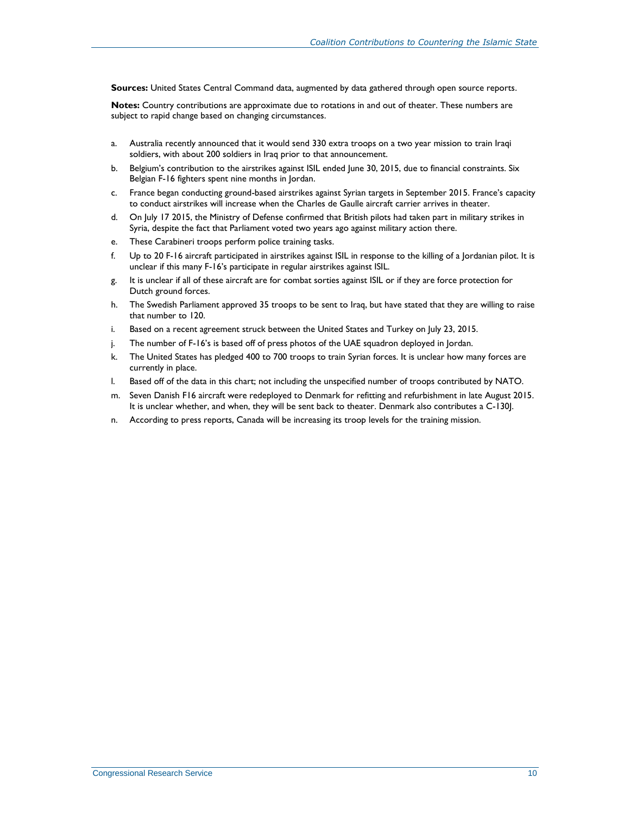**Sources:** United States Central Command data, augmented by data gathered through open source reports.

**Notes:** Country contributions are approximate due to rotations in and out of theater. These numbers are subject to rapid change based on changing circumstances.

- <span id="page-11-0"></span>a. Australia recently announced that it would send 330 extra troops on a two year mission to train Iraqi soldiers, with about 200 soldiers in Iraq prior to that announcement.
- <span id="page-11-1"></span>b. Belgium's contribution to the airstrikes against ISIL ended June 30, 2015, due to financial constraints. Six Belgian F-16 fighters spent nine months in Jordan.
- c. France began conducting ground-based airstrikes against Syrian targets in September 2015. France's capacity to conduct airstrikes will increase when the Charles de Gaulle aircraft carrier arrives in theater.
- <span id="page-11-2"></span>d. On July 17 2015, the Ministry of Defense confirmed that British pilots had taken part in military strikes in Syria, despite the fact that Parliament voted two years ago against military action there.
- <span id="page-11-3"></span>e. These Carabineri troops perform police training tasks.
- <span id="page-11-4"></span>f. Up to 20 F-16 aircraft participated in airstrikes against ISIL in response to the killing of a Jordanian pilot. It is unclear if this many F-16's participate in regular airstrikes against ISIL.
- <span id="page-11-5"></span>g. It is unclear if all of these aircraft are for combat sorties against ISIL or if they are force protection for Dutch ground forces.
- <span id="page-11-6"></span>h. The Swedish Parliament approved 35 troops to be sent to Iraq, but have stated that they are willing to raise that number to 120.
- <span id="page-11-7"></span>i. Based on a recent agreement struck between the United States and Turkey on July 23, 2015.
- <span id="page-11-8"></span>j. The number of F-16's is based off of press photos of the UAE squadron deployed in Jordan.
- <span id="page-11-9"></span>k. The United States has pledged 400 to 700 troops to train Syrian forces. It is unclear how many forces are currently in place.
- <span id="page-11-10"></span>l. Based off of the data in this chart; not including the unspecified number of troops contributed by NATO.
- m. Seven Danish F16 aircraft were redeployed to Denmark for refitting and refurbishment in late August 2015. It is unclear whether, and when, they will be sent back to theater. Denmark also contributes a C-130J.
- n. According to press reports, Canada will be increasing its troop levels for the training mission.